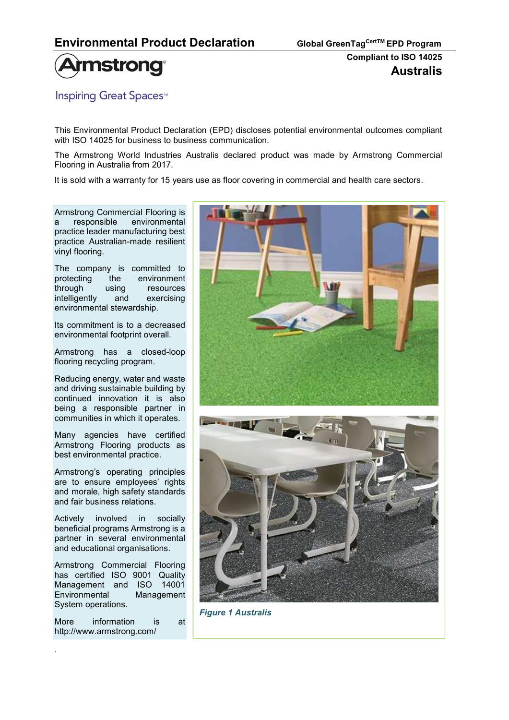

**Inspiring Great Spaces**<sup>™</sup>

This Environmental Product Declaration (EPD) discloses potential environmental outcomes compliant with ISO 14025 for business to business communication.

The Armstrong World Industries Australis declared product was made by Armstrong Commercial Flooring in Australia from 2017.

It is sold with a warranty for 15 years use as floor covering in commercial and health care sectors.

Armstrong Commercial Flooring is a responsible environmental practice leader manufacturing best practice Australian-made resilient vinyl flooring.

The company is committed to protecting the environment through using resources intelligently and exercising environmental stewardship.

Its commitment is to a decreased environmental footprint overall.

Armstrong has a closed-loop flooring recycling program.

Reducing energy, water and waste and driving sustainable building by continued innovation it is also being a responsible partner in communities in which it operates.

Many agencies have certified Armstrong Flooring products as best environmental practice.

Armstrong's operating principles are to ensure employees' rights and morale, high safety standards and fair business relations.

Actively involved in socially beneficial programs Armstrong is a partner in several environmental and educational organisations.

Armstrong Commercial Flooring has certified ISO 9001 Quality Management and ISO 14001 Environmental Management System operations.

More information is at http://www.armstrong.com/

.



Figure 1 Australis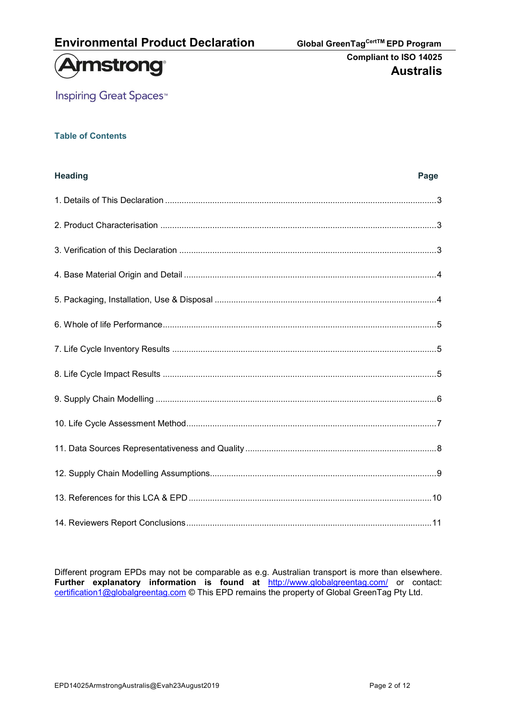

**Inspiring Great Spaces<sup>™</sup>** 

#### Table of Contents

| <b>Heading</b> | Page |
|----------------|------|
|                |      |
|                |      |
|                |      |
|                |      |
|                |      |
|                |      |
|                |      |
|                |      |
|                |      |
|                |      |
|                |      |
|                |      |
|                |      |
|                |      |

Different program EPDs may not be comparable as e.g. Australian transport is more than elsewhere. Further explanatory information is found at http://www.globalgreentag.com/ or contact: certification1@globalgreentag.com © This EPD remains the property of Global GreenTag Pty Ltd.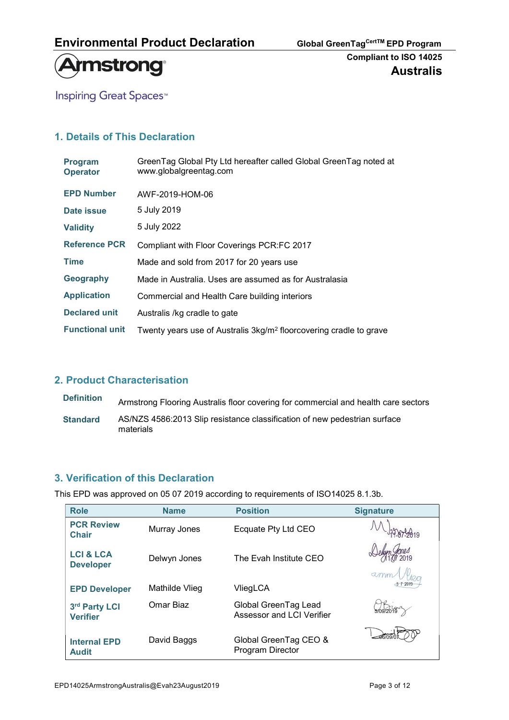



**Inspiring Great Spaces<sup>™</sup>** 

# 1. Details of This Declaration

| <b>Program</b><br><b>Operator</b> | GreenTag Global Pty Ltd hereafter called Global GreenTag noted at<br>www.globalgreentag.com |
|-----------------------------------|---------------------------------------------------------------------------------------------|
| <b>EPD Number</b>                 | AWF-2019-HOM-06                                                                             |
| Date issue                        | 5 July 2019                                                                                 |
| <b>Validity</b>                   | 5 July 2022                                                                                 |
| <b>Reference PCR</b>              | Compliant with Floor Coverings PCR:FC 2017                                                  |
| <b>Time</b>                       | Made and sold from 2017 for 20 years use                                                    |
| Geography                         | Made in Australia. Uses are assumed as for Australasia                                      |
| <b>Application</b>                | Commercial and Health Care building interiors                                               |
| <b>Declared unit</b>              | Australis /kg cradle to gate                                                                |
| <b>Functional unit</b>            | Twenty years use of Australis 3kg/m <sup>2</sup> floorcovering cradle to grave              |

# 2. Product Characterisation

| <b>Definition</b> | Armstrong Flooring Australis floor covering for commercial and health care sectors     |
|-------------------|----------------------------------------------------------------------------------------|
| <b>Standard</b>   | AS/NZS 4586:2013 Slip resistance classification of new pedestrian surface<br>materials |

## 3. Verification of this Declaration

This EPD was approved on 05 07 2019 according to requirements of ISO14025 8.1.3b.

| <b>Role</b>                              | <b>Name</b>    | <b>Position</b>                                   | <b>Signature</b> |
|------------------------------------------|----------------|---------------------------------------------------|------------------|
| <b>PCR Review</b><br><b>Chair</b>        | Murray Jones   | Ecquate Pty Ltd CEO                               |                  |
| <b>LCI &amp; LCA</b><br><b>Developer</b> | Delwyn Jones   | The Evah Institute CEO                            | $\alpha$ mm      |
| <b>EPD Developer</b>                     | Mathilde Vlieg | VliegLCA                                          |                  |
| 3rd Party LCI<br><b>Verifier</b>         | Omar Biaz      | Global GreenTag Lead<br>Assessor and LCI Verifier | 709/2019         |
| <b>Internal EPD</b><br><b>Audit</b>      | David Baggs    | Global GreenTag CEO &<br>Program Director         |                  |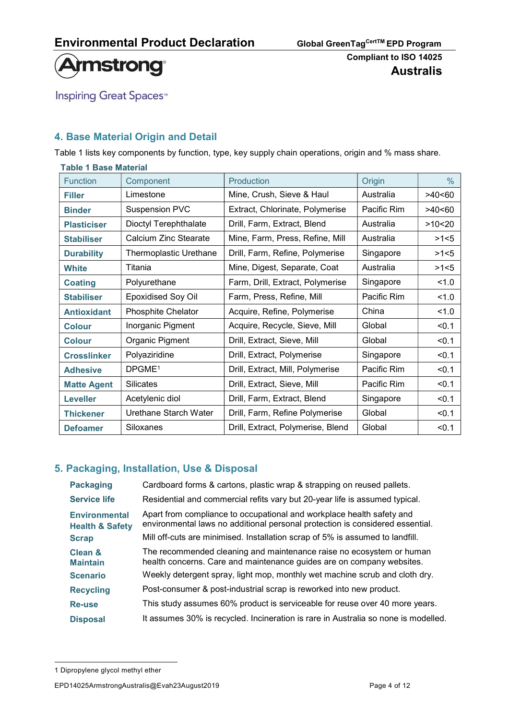

**Inspiring Great Spaces<sup>™</sup>** 

# 4. Base Material Origin and Detail

Table 1 lists key components by function, type, key supply chain operations, origin and % mass share.

| <b>Table 1 Base Material</b>                                                               |                                                               |                                   |             |        |  |  |
|--------------------------------------------------------------------------------------------|---------------------------------------------------------------|-----------------------------------|-------------|--------|--|--|
| <b>Function</b>                                                                            | Component                                                     | Production                        | Origin      | $\%$   |  |  |
| <b>Filler</b>                                                                              | Limestone                                                     | Mine, Crush, Sieve & Haul         | Australia   | >40<60 |  |  |
| <b>Binder</b>                                                                              | <b>Suspension PVC</b>                                         | Extract, Chlorinate, Polymerise   | Pacific Rim | >40<60 |  |  |
| <b>Plasticiser</b>                                                                         | Dioctyl Terephthalate                                         | Drill, Farm, Extract, Blend       | Australia   | >10<20 |  |  |
| <b>Stabiliser</b>                                                                          | Calcium Zinc Stearate                                         | Mine, Farm, Press, Refine, Mill   | Australia   | >1<5   |  |  |
| <b>Durability</b>                                                                          | Thermoplastic Urethane                                        | Drill, Farm, Refine, Polymerise   | Singapore   | >1<5   |  |  |
| Titania<br>Mine, Digest, Separate, Coat<br>Australia<br><b>White</b>                       |                                                               |                                   |             | >1<5   |  |  |
| <b>Coating</b>                                                                             | Singapore<br>Polyurethane<br>Farm, Drill, Extract, Polymerise |                                   | 1.0         |        |  |  |
| <b>Epoxidised Soy Oil</b><br>Pacific Rim<br>Farm, Press, Refine, Mill<br><b>Stabiliser</b> |                                                               | 1.0                               |             |        |  |  |
| China<br><b>Antioxidant</b><br><b>Phosphite Chelator</b><br>Acquire, Refine, Polymerise    |                                                               |                                   | 1.0         |        |  |  |
| Inorganic Pigment<br>Acquire, Recycle, Sieve, Mill<br><b>Colour</b>                        |                                                               |                                   | Global      | < 0.1  |  |  |
| <b>Colour</b>                                                                              | Organic Pigment<br>Drill, Extract, Sieve, Mill<br>Global      |                                   | < 0.1       |        |  |  |
| <b>Crosslinker</b>                                                                         | Polyaziridine                                                 | Drill, Extract, Polymerise        | Singapore   | < 0.1  |  |  |
| <b>Adhesive</b>                                                                            | DPGME <sup>1</sup>                                            | Drill, Extract, Mill, Polymerise  | Pacific Rim | < 0.1  |  |  |
| <b>Matte Agent</b>                                                                         | <b>Silicates</b>                                              | Drill, Extract, Sieve, Mill       | Pacific Rim | < 0.1  |  |  |
| <b>Leveller</b>                                                                            | Acetylenic diol                                               | Drill, Farm, Extract, Blend       | Singapore   | < 0.1  |  |  |
| <b>Thickener</b>                                                                           | Urethane Starch Water                                         | Drill, Farm, Refine Polymerise    | Global      | < 0.1  |  |  |
| <b>Defoamer</b>                                                                            | Siloxanes                                                     | Drill, Extract, Polymerise, Blend | Global      | < 0.1  |  |  |

# 5. Packaging, Installation, Use & Disposal

| <b>Packaging</b>                                   | Cardboard forms & cartons, plastic wrap & strapping on reused pallets.                                                                                 |
|----------------------------------------------------|--------------------------------------------------------------------------------------------------------------------------------------------------------|
| <b>Service life</b>                                | Residential and commercial refits vary but 20-year life is assumed typical.                                                                            |
| <b>Environmental</b><br><b>Health &amp; Safety</b> | Apart from compliance to occupational and workplace health safety and<br>environmental laws no additional personal protection is considered essential. |
| <b>Scrap</b>                                       | Mill off-cuts are minimised. Installation scrap of 5% is assumed to landfill.                                                                          |
| <b>Clean &amp;</b><br><b>Maintain</b>              | The recommended cleaning and maintenance raise no ecosystem or human<br>health concerns. Care and maintenance guides are on company websites.          |
| <b>Scenario</b>                                    | Weekly detergent spray, light mop, monthly wet machine scrub and cloth dry.                                                                            |
| <b>Recycling</b>                                   | Post-consumer & post-industrial scrap is reworked into new product.                                                                                    |
| Re-use                                             | This study assumes 60% product is serviceable for reuse over 40 more years.                                                                            |
| <b>Disposal</b>                                    | It assumes 30% is recycled. Incineration is rare in Australia so none is modelled.                                                                     |

<sup>1</sup> Dipropylene glycol methyl ether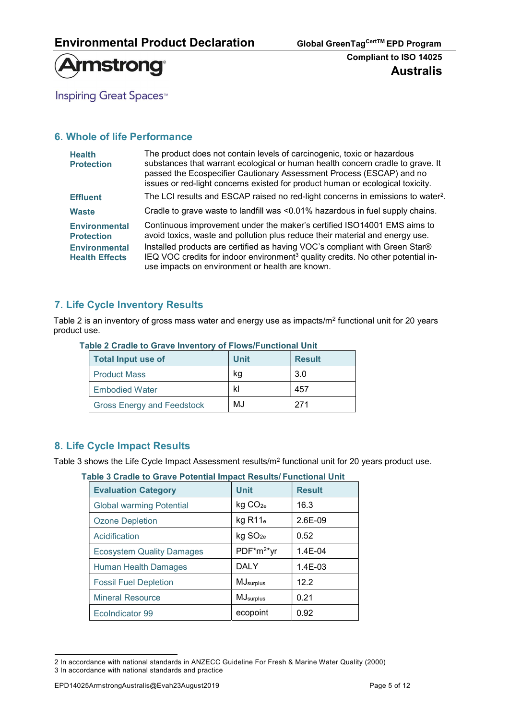

**Inspiring Great Spaces<sup>™</sup>** 

## 6. Whole of life Performance

| The product does not contain levels of carcinogenic, toxic or hazardous<br>substances that warrant ecological or human health concern cradle to grave. It<br>passed the Ecospecifier Cautionary Assessment Process (ESCAP) and no<br>issues or red-light concerns existed for product human or ecological toxicity.                                                                      |
|------------------------------------------------------------------------------------------------------------------------------------------------------------------------------------------------------------------------------------------------------------------------------------------------------------------------------------------------------------------------------------------|
| The LCI results and ESCAP raised no red-light concerns in emissions to water <sup>2</sup> .                                                                                                                                                                                                                                                                                              |
| Cradle to grave waste to landfill was <0.01% hazardous in fuel supply chains.                                                                                                                                                                                                                                                                                                            |
| Continuous improvement under the maker's certified ISO14001 EMS aims to<br>avoid toxics, waste and pollution plus reduce their material and energy use.<br>Installed products are certified as having VOC's compliant with Green Star®<br>IEQ VOC credits for indoor environment <sup>3</sup> quality credits. No other potential in-<br>use impacts on environment or health are known. |
|                                                                                                                                                                                                                                                                                                                                                                                          |

## 7. Life Cycle Inventory Results

Table 2 is an inventory of gross mass water and energy use as impacts/m<sup>2</sup> functional unit for 20 years product use.

| <b>Total Input use of</b>         | <b>Unit</b> | <b>Result</b> |
|-----------------------------------|-------------|---------------|
| <b>Product Mass</b>               | kq          | 3.0           |
| <b>Embodied Water</b>             | kl          | 457           |
| <b>Gross Energy and Feedstock</b> | MJ          | 271           |

#### Table 2 Cradle to Grave Inventory of Flows/Functional Unit

## 8. Life Cycle Impact Results

Table 3 shows the Life Cycle Impact Assessment results/m<sup>2</sup> functional unit for 20 years product use.

| Table 3 Cradle to Grave Potential Impact Results/ Functional Unit |                                  |                        |               |  |  |
|-------------------------------------------------------------------|----------------------------------|------------------------|---------------|--|--|
|                                                                   | <b>Evaluation Category</b>       | <b>Unit</b>            | <b>Result</b> |  |  |
| <b>Global warming Potential</b>                                   |                                  | kg CO <sub>2e</sub>    | 16.3          |  |  |
| <b>Ozone Depletion</b>                                            |                                  | $kg$ R11 $_e$          | $2.6E-09$     |  |  |
|                                                                   | Acidification                    | kg SO <sub>2e</sub>    | 0.52          |  |  |
|                                                                   | <b>Ecosystem Quality Damages</b> | PDF*m <sup>2*</sup> yr | $1.4E - 04$   |  |  |
|                                                                   | <b>Human Health Damages</b>      | <b>DALY</b>            | $1.4E-03$     |  |  |
|                                                                   | <b>Fossil Fuel Depletion</b>     | MJ <sub>surplus</sub>  | 12.2          |  |  |
|                                                                   | <b>Mineral Resource</b>          | MJ <sub>surplus</sub>  | 0.21          |  |  |
|                                                                   | EcoIndicator 99                  | ecopoint               | 0.92          |  |  |
|                                                                   |                                  |                        |               |  |  |

<sup>2</sup> In accordance with national standards in ANZECC Guideline For Fresh & Marine Water Quality (2000) 3 In accordance with national standards and practice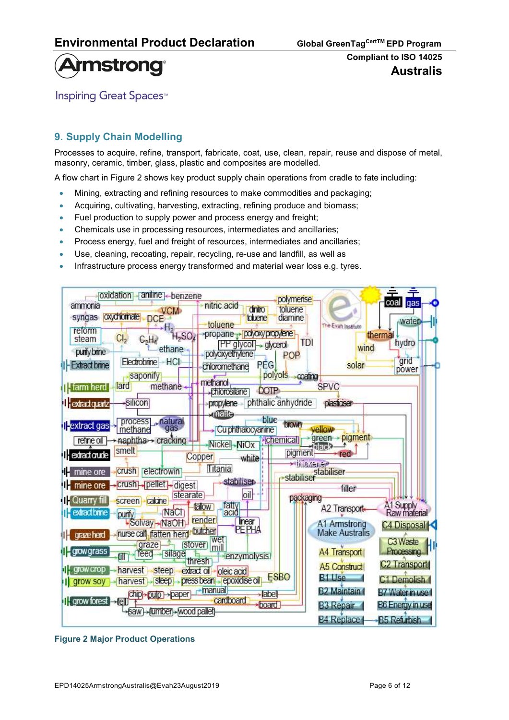

**Inspiring Great Spaces**<sup>™</sup>

# 9. Supply Chain Modelling

Processes to acquire, refine, transport, fabricate, coat, use, clean, repair, reuse and dispose of metal, masonry, ceramic, timber, glass, plastic and composites are modelled.

A flow chart in Figure 2 shows key product supply chain operations from cradle to fate including:

- Mining, extracting and refining resources to make commodities and packaging;
- Acquiring, cultivating, harvesting, extracting, refining produce and biomass;
- Fuel production to supply power and process energy and freight;
- Chemicals use in processing resources, intermediates and ancillaries;
- Process energy, fuel and freight of resources, intermediates and ancillaries;
- Use, cleaning, recoating, repair, recycling, re-use and landfill, as well as
- Infrastructure process energy transformed and material wear loss e.g. tyres.



Figure 2 Major Product Operations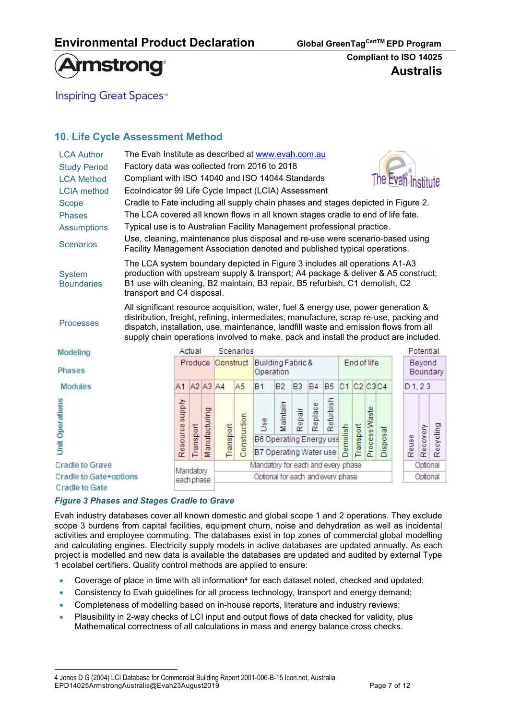

**Inspiring Great Spaces**<sup>™</sup>

# 10. Life Cycle Assessment Method

| <b>LCA Author</b><br><b>Study Period</b><br><b>LCA Method</b><br><b>LCIA</b> method | The Evah Institute as described at www.evah.com.au<br>Factory data was collected from 2016 to 2018<br>Compliant with ISO 14040 and ISO 14044 Standards                                                                                                                                                                                                                                  |                 |           |               |           |                |                                                          |                |                |           |           |                                   |           |               |          | The Evan Institute |           |           |
|-------------------------------------------------------------------------------------|-----------------------------------------------------------------------------------------------------------------------------------------------------------------------------------------------------------------------------------------------------------------------------------------------------------------------------------------------------------------------------------------|-----------------|-----------|---------------|-----------|----------------|----------------------------------------------------------|----------------|----------------|-----------|-----------|-----------------------------------|-----------|---------------|----------|--------------------|-----------|-----------|
| Scope<br><b>Phases</b><br><b>Assumptions</b>                                        | EcoIndicator 99 Life Cycle Impact (LCIA) Assessment<br>Cradle to Fate including all supply chain phases and stages depicted in Figure 2.<br>The LCA covered all known flows in all known stages cradle to end of life fate.<br>Typical use is to Australian Facility Management professional practice.<br>Use, cleaning, maintenance plus disposal and re-use were scenario-based using |                 |           |               |           |                |                                                          |                |                |           |           |                                   |           |               |          |                    |           |           |
| <b>Scenarios</b>                                                                    | Facility Management Association denoted and published typical operations.                                                                                                                                                                                                                                                                                                               |                 |           |               |           |                |                                                          |                |                |           |           |                                   |           |               |          |                    |           |           |
| <b>System</b><br><b>Boundaries</b>                                                  | The LCA system boundary depicted in Figure 3 includes all operations A1-A3<br>production with upstream supply & transport; A4 package & deliver & A5 construct;<br>B1 use with cleaning, B2 maintain, B3 repair, B5 refurbish, C1 demolish, C2<br>transport and C4 disposal.                                                                                                            |                 |           |               |           |                |                                                          |                |                |           |           |                                   |           |               |          |                    |           |           |
| <b>Processes</b>                                                                    | All significant resource acquisition, water, fuel & energy use, power generation &<br>distribution, freight, refining, intermediates, manufacture, scrap re-use, packing and<br>dispatch, installation, use, maintenance, landfill waste and emission flows from all<br>supply chain operations involved to make, pack and install the product are included.                            |                 |           |               |           |                |                                                          |                |                |           |           |                                   |           |               |          |                    |           |           |
| Modeling                                                                            |                                                                                                                                                                                                                                                                                                                                                                                         |                 | Actual    |               |           | Scenarios      |                                                          |                |                |           |           |                                   |           |               |          |                    | Potential |           |
| Phases                                                                              |                                                                                                                                                                                                                                                                                                                                                                                         |                 | Produce   |               | Construct |                | Building Fabric &<br>Operation                           |                |                |           |           | End of life<br>Beyond<br>Boundary |           |               |          |                    |           |           |
| <b>Modules</b>                                                                      |                                                                                                                                                                                                                                                                                                                                                                                         | A1 A2 A3 A4     |           |               |           | A <sub>5</sub> | <b>B1</b>                                                | B <sub>2</sub> | B <sub>3</sub> | <b>B4</b> | <b>B5</b> | C1 C2 C3 C4                       |           |               |          | D1, 23             |           |           |
| <b>Unit Operations</b>                                                              |                                                                                                                                                                                                                                                                                                                                                                                         | Resource supply | Transport | Manufacturing | Transport | Construction   | Use<br>B6 Operating Energy use<br>B7 Operating Water use | Maintain       | Repair         | Replace   | Refurbish | molish<br><b>B</b>                | Transport | Process Waste | Disposal | Reuse              | Recovery  | Recycling |

**Cradle to Grave** Cradle to Gate+options **Cradle to Gate** 

#### Figure 3 Phases and Stages Cradle to Grave

Evah industry databases cover all known domestic and global scope 1 and 2 operations. They exclude scope 3 burdens from capital facilities, equipment churn, noise and dehydration as well as incidental activities and employee commuting. The databases exist in top zones of commercial global modelling and calculating engines. Electricity supply models in active databases are updated annually. As each project is modelled and new data is available the databases are updated and audited by external Type 1 ecolabel certifiers. Quality control methods are applied to ensure:

Mandatory for each and every phase

Optional for each and every phase

- Coverage of place in time with all information<sup>4</sup> for each dataset noted, checked and updated;
- Consistency to Evah guidelines for all process technology, transport and energy demand;
- Completeness of modelling based on in-house reports, literature and industry reviews;
- Plausibility in 2-way checks of LCI input and output flows of data checked for validity, plus Mathematical correctness of all calculations in mass and energy balance cross checks.

Mandatory

each phase

Optional

Optional

EPD14025ArmstrongAustralis@Evah23August2019 Page 7 of 12 4 Jones D G (2004) LCI Database for Commercial Building Report 2001-006-B-15 Icon.net, Australia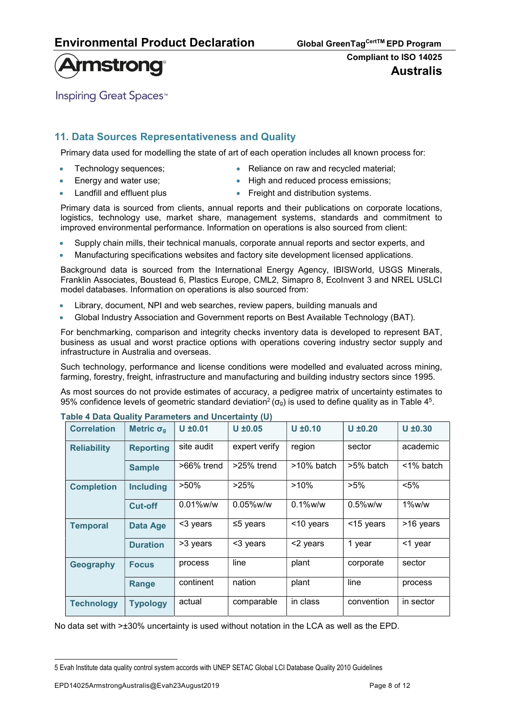# **Armstrong**

**Inspiring Great Spaces**<sup>™</sup>

## 11. Data Sources Representativeness and Quality

Primary data used for modelling the state of art of each operation includes all known process for:

- 
- 
- Technology sequences;  $\bullet$  Reliance on raw and recycled material;
- Energy and water use; **Energy and water use**; **and reduced process emissions;**
- 
- Landfill and effluent plus **Freight and distribution systems.**

Primary data is sourced from clients, annual reports and their publications on corporate locations, logistics, technology use, market share, management systems, standards and commitment to improved environmental performance. Information on operations is also sourced from client:

- Supply chain mills, their technical manuals, corporate annual reports and sector experts, and
- Manufacturing specifications websites and factory site development licensed applications.

Background data is sourced from the International Energy Agency, IBISWorld, USGS Minerals, Franklin Associates, Boustead 6, Plastics Europe, CML2, Simapro 8, EcoInvent 3 and NREL USLCI model databases. Information on operations is also sourced from:

- Library, document, NPI and web searches, review papers, building manuals and
- Global Industry Association and Government reports on Best Available Technology (BAT).

For benchmarking, comparison and integrity checks inventory data is developed to represent BAT, business as usual and worst practice options with operations covering industry sector supply and infrastructure in Australia and overseas.

Such technology, performance and license conditions were modelled and evaluated across mining, farming, forestry, freight, infrastructure and manufacturing and building industry sectors since 1995.

As most sources do not provide estimates of accuracy, a pedigree matrix of uncertainty estimates to 95% confidence levels of geometric standard deviation<sup>2</sup> ( $\sigma_g$ ) is used to define quality as in Table 4<sup>5</sup>.

| <b>Correlation</b> | Metric $\sigma_{q}$ | $U \pm 0.01$  | $U \pm 0.05$            | $U \pm 0.10$  | $U \pm 0.20$ | $U \pm 0.30$ |  |
|--------------------|---------------------|---------------|-------------------------|---------------|--------------|--------------|--|
| <b>Reliability</b> | <b>Reporting</b>    | site audit    | expert verify<br>region |               | sector       | academic     |  |
|                    | <b>Sample</b>       | $>66\%$ trend | $>25\%$ trend           | $>10\%$ batch | >5% batch    | $<$ 1% batch |  |
| <b>Completion</b>  | <b>Including</b>    | $>50\%$       | >25%                    | $>10\%$       |              | $< 5\%$      |  |
|                    | Cut-off             | $0.01\%$ w/w  | $0.05\%$ w/w            | $0.1\%$ w/w   | $0.5\%$ w/w  | $1\%$ w/w    |  |
| <b>Temporal</b>    | Data Age            | <3 years      | $\leq$ 5 years          | <10 years     | <15 years    | >16 years    |  |
|                    | <b>Duration</b>     | >3 years      | <3 years                | <2 years      | 1 year       | <1 year      |  |
| Geography          | <b>Focus</b>        | process       | line                    | plant         | corporate    | sector       |  |
|                    | Range               | continent     | nation                  | plant         | line         | process      |  |
| <b>Technology</b>  | <b>Typology</b>     | actual        | comparable              | in class      | convention   | in sector    |  |

#### Table 4 Data Quality Parameters and Uncertainty (U)

No data set with >±30% uncertainty is used without notation in the LCA as well as the EPD.

<sup>5</sup> Evah Institute data quality control system accords with UNEP SETAC Global LCI Database Quality 2010 Guidelines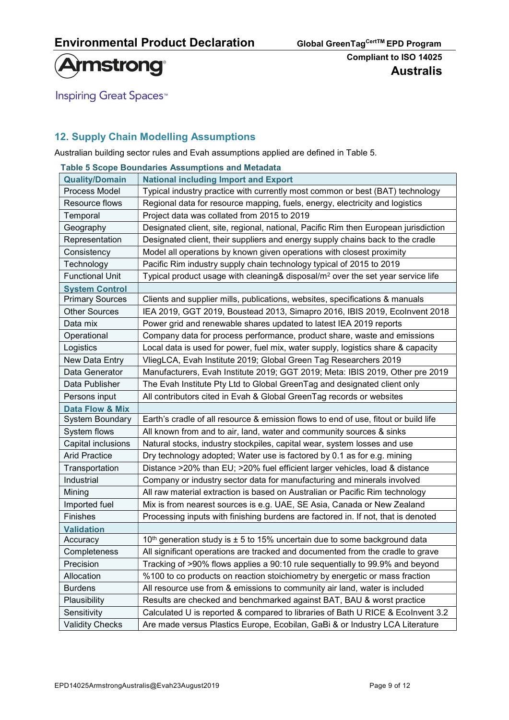

**Inspiring Great Spaces<sup>™</sup>** 

# 12. Supply Chain Modelling Assumptions

Australian building sector rules and Evah assumptions applied are defined in Table 5.

|                        | <b>Table 5 Scope Boundaries Assumptions and Metadata</b>                                    |
|------------------------|---------------------------------------------------------------------------------------------|
| <b>Quality/Domain</b>  | <b>National including Import and Export</b>                                                 |
| Process Model          | Typical industry practice with currently most common or best (BAT) technology               |
| Resource flows         | Regional data for resource mapping, fuels, energy, electricity and logistics                |
| Temporal               | Project data was collated from 2015 to 2019                                                 |
| Geography              | Designated client, site, regional, national, Pacific Rim then European jurisdiction         |
| Representation         | Designated client, their suppliers and energy supply chains back to the cradle              |
| Consistency            | Model all operations by known given operations with closest proximity                       |
| Technology             | Pacific Rim industry supply chain technology typical of 2015 to 2019                        |
| <b>Functional Unit</b> | Typical product usage with cleaning& disposal/m <sup>2</sup> over the set year service life |
| <b>System Control</b>  |                                                                                             |
| <b>Primary Sources</b> | Clients and supplier mills, publications, websites, specifications & manuals                |
| <b>Other Sources</b>   | IEA 2019, GGT 2019, Boustead 2013, Simapro 2016, IBIS 2019, Ecolnvent 2018                  |
| Data mix               | Power grid and renewable shares updated to latest IEA 2019 reports                          |
| Operational            | Company data for process performance, product share, waste and emissions                    |
| Logistics              | Local data is used for power, fuel mix, water supply, logistics share & capacity            |
| New Data Entry         | VliegLCA, Evah Institute 2019; Global Green Tag Researchers 2019                            |
| Data Generator         | Manufacturers, Evah Institute 2019; GGT 2019; Meta: IBIS 2019, Other pre 2019               |
| Data Publisher         | The Evah Institute Pty Ltd to Global GreenTag and designated client only                    |
| Persons input          | All contributors cited in Evah & Global GreenTag records or websites                        |
| Data Flow & Mix        |                                                                                             |
| System Boundary        | Earth's cradle of all resource & emission flows to end of use, fitout or build life         |
| System flows           | All known from and to air, land, water and community sources & sinks                        |
| Capital inclusions     | Natural stocks, industry stockpiles, capital wear, system losses and use                    |
| <b>Arid Practice</b>   | Dry technology adopted; Water use is factored by 0.1 as for e.g. mining                     |
| Transportation         | Distance >20% than EU; >20% fuel efficient larger vehicles, load & distance                 |
| Industrial             | Company or industry sector data for manufacturing and minerals involved                     |
| Mining                 | All raw material extraction is based on Australian or Pacific Rim technology                |
| Imported fuel          | Mix is from nearest sources is e.g. UAE, SE Asia, Canada or New Zealand                     |
| Finishes               | Processing inputs with finishing burdens are factored in. If not, that is denoted           |
| <b>Validation</b>      |                                                                                             |
| Accuracy               | 10 <sup>th</sup> generation study is $\pm$ 5 to 15% uncertain due to some background data   |
| Completeness           | All significant operations are tracked and documented from the cradle to grave              |
| Precision              | Tracking of >90% flows applies a 90:10 rule sequentially to 99.9% and beyond                |
| Allocation             | %100 to co products on reaction stoichiometry by energetic or mass fraction                 |
| <b>Burdens</b>         | All resource use from & emissions to community air land, water is included                  |
| Plausibility           | Results are checked and benchmarked against BAT, BAU & worst practice                       |
| Sensitivity            | Calculated U is reported & compared to libraries of Bath U RICE & Ecolnvent 3.2             |
| <b>Validity Checks</b> | Are made versus Plastics Europe, Ecobilan, GaBi & or Industry LCA Literature                |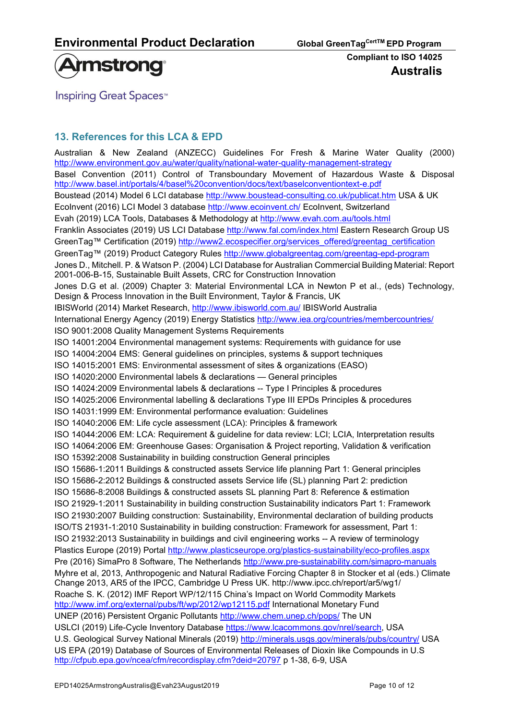

**Inspiring Great Spaces**<sup>™</sup>

# 13. References for this LCA & EPD

Australian & New Zealand (ANZECC) Guidelines For Fresh & Marine Water Quality (2000) http://www.environment.gov.au/water/quality/national-water-quality-management-strategy Basel Convention (2011) Control of Transboundary Movement of Hazardous Waste & Disposal http://www.basel.int/portals/4/basel%20convention/docs/text/baselconventiontext-e.pdf Boustead (2014) Model 6 LCI database http://www.boustead-consulting.co.uk/publicat.htm USA & UK EcoInvent (2016) LCI Model 3 database http://www.ecoinvent.ch/ EcoInvent, Switzerland Evah (2019) LCA Tools, Databases & Methodology at http://www.evah.com.au/tools.html Franklin Associates (2019) US LCI Database http://www.fal.com/index.html Eastern Research Group US GreenTag™ Certification (2019) http://www2.ecospecifier.org/services\_offered/greentag\_certification GreenTag™ (2019) Product Category Rules http://www.globalgreentag.com/greentag-epd-program Jones D., Mitchell. P. & Watson P. (2004) LCI Database for Australian Commercial Building Material: Report 2001-006-B-15, Sustainable Built Assets, CRC for Construction Innovation Jones D.G et al. (2009) Chapter 3: Material Environmental LCA in Newton P et al., (eds) Technology, Design & Process Innovation in the Built Environment, Taylor & Francis, UK IBISWorld (2014) Market Research, http://www.ibisworld.com.au/ IBISWorld Australia International Energy Agency (2019) Energy Statistics http://www.iea.org/countries/membercountries/ ISO 9001:2008 Quality Management Systems Requirements ISO 14001:2004 Environmental management systems: Requirements with guidance for use ISO 14004:2004 EMS: General guidelines on principles, systems & support techniques ISO 14015:2001 EMS: Environmental assessment of sites & organizations (EASO) ISO 14020:2000 Environmental labels & declarations — General principles ISO 14024:2009 Environmental labels & declarations -- Type I Principles & procedures ISO 14025:2006 Environmental labelling & declarations Type III EPDs Principles & procedures ISO 14031:1999 EM: Environmental performance evaluation: Guidelines ISO 14040:2006 EM: Life cycle assessment (LCA): Principles & framework ISO 14044:2006 EM: LCA: Requirement & guideline for data review: LCI; LCIA, Interpretation results ISO 14064:2006 EM: Greenhouse Gases: Organisation & Project reporting, Validation & verification ISO 15392:2008 Sustainability in building construction General principles ISO 15686-1:2011 Buildings & constructed assets Service life planning Part 1: General principles ISO 15686-2:2012 Buildings & constructed assets Service life (SL) planning Part 2: prediction ISO 15686-8:2008 Buildings & constructed assets SL planning Part 8: Reference & estimation ISO 21929-1:2011 Sustainability in building construction Sustainability indicators Part 1: Framework ISO 21930:2007 Building construction: Sustainability, Environmental declaration of building products ISO/TS 21931-1:2010 Sustainability in building construction: Framework for assessment, Part 1: ISO 21932:2013 Sustainability in buildings and civil engineering works -- A review of terminology Plastics Europe (2019) Portal http://www.plasticseurope.org/plastics-sustainability/eco-profiles.aspx Pre (2016) SimaPro 8 Software, The Netherlands http://www.pre-sustainability.com/simapro-manuals Myhre et al, 2013, Anthropogenic and Natural Radiative Forcing Chapter 8 in Stocker et al (eds.) Climate Change 2013, AR5 of the IPCC, Cambridge U Press UK. http://www.ipcc.ch/report/ar5/wg1/ Roache S. K. (2012) IMF Report WP/12/115 China's Impact on World Commodity Markets http://www.imf.org/external/pubs/ft/wp/2012/wp12115.pdf International Monetary Fund UNEP (2016) Persistent Organic Pollutants http://www.chem.unep.ch/pops/ The UN USLCI (2019) Life-Cycle Inventory Database https://www.lcacommons.gov/nrel/search, USA U.S. Geological Survey National Minerals (2019) http://minerals.usgs.gov/minerals/pubs/country/ USA US EPA (2019) Database of Sources of Environmental Releases of Dioxin like Compounds in U.S http://cfpub.epa.gov/ncea/cfm/recordisplay.cfm?deid=20797 p 1-38, 6-9, USA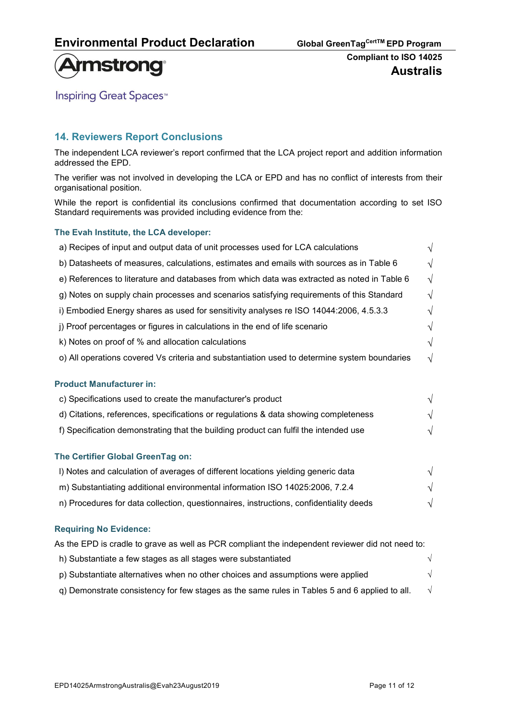

**Inspiring Great Spaces<sup>™</sup>** 

## 14. Reviewers Report Conclusions

The independent LCA reviewer's report confirmed that the LCA project report and addition information addressed the EPD.

The verifier was not involved in developing the LCA or EPD and has no conflict of interests from their organisational position.

While the report is confidential its conclusions confirmed that documentation according to set ISO Standard requirements was provided including evidence from the:

#### The Evah Institute, the LCA developer:

| a) Recipes of input and output data of unit processes used for LCA calculations              | $\sqrt{}$  |
|----------------------------------------------------------------------------------------------|------------|
| b) Datasheets of measures, calculations, estimates and emails with sources as in Table 6     | $\sqrt{ }$ |
| e) References to literature and databases from which data was extracted as noted in Table 6  | $\sqrt{ }$ |
| g) Notes on supply chain processes and scenarios satisfying requirements of this Standard    | $\sqrt{ }$ |
| i) Embodied Energy shares as used for sensitivity analyses re ISO 14044:2006, 4.5.3.3        | $\sqrt{}$  |
| j) Proof percentages or figures in calculations in the end of life scenario                  | $\sqrt{ }$ |
| k) Notes on proof of % and allocation calculations                                           | $\sqrt{ }$ |
| o) All operations covered Vs criteria and substantiation used to determine system boundaries | $\sqrt{}$  |
| <b>Product Manufacturer in:</b>                                                              |            |
| c) Specifications used to create the manufacturer's product                                  | $\sqrt{ }$ |
| d) Citations, references, specifications or regulations & data showing completeness          | $\sqrt{ }$ |
| f) Specification demonstrating that the building product can fulfil the intended use         | $\sqrt{}$  |
| The Certifier Global GreenTag on:                                                            |            |
| I) Notes and calculation of averages of different locations yielding generic data            | $\sqrt{ }$ |
| m) Substantiating additional environmental information ISO 14025:2006, 7.2.4                 | $\sqrt{ }$ |
| n) Procedures for data collection, questionnaires, instructions, confidentiality deeds       | V          |

#### Requiring No Evidence:

| As the EPD is cradle to grave as well as PCR compliant the independent reviewer did not need to: |  |
|--------------------------------------------------------------------------------------------------|--|
| h) Substantiate a few stages as all stages were substantiated                                    |  |
| p) Substantiate alternatives when no other choices and assumptions were applied                  |  |
| g) Demonstrate consistency for few stages as the same rules in Tables 5 and 6 applied to all.    |  |